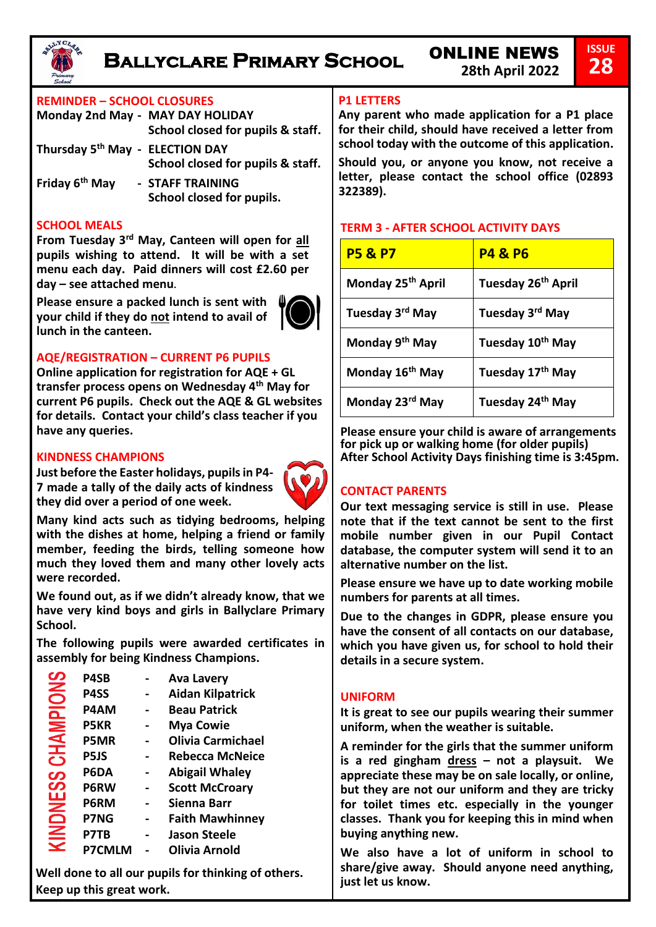

# **Ballyclare Primary School** ONLINE NEWS

# **REMINDER – SCHOOL CLOSURES**

| Monday 2nd May - MAY DAY HOLIDAY | School closed for pupils & staff.             |
|----------------------------------|-----------------------------------------------|
| Thursday 5th May - ELECTION DAY  | School closed for pupils & staff.             |
| Friday 6 <sup>th</sup> May       | - STAFF TRAINING<br>School closed for pupils. |

#### **SCHOOL MEALS**

**From Tuesday 3rd May, Canteen will open for all pupils wishing to attend. It will be with a set menu each day. Paid dinners will cost £2.60 per day – see attached menu.** 

**Please ensure a packed lunch is sent with your child if they do not intend to avail of lunch in the canteen.** 



# **AQE/REGISTRATION – CURRENT P6 PUPILS**

**Online application for registration for AQE + GL transfer process opens on Wednesday 4th May for current P6 pupils. Check out the AQE & GL websites for details. Contact your child's class teacher if you have any queries.** 

#### **KINDNESS CHAMPIONS**

**Just before the Easter holidays, pupils in P4- 7 made a tally of the daily acts of kindness they did over a period of one week.** 



**Many kind acts such as tidying bedrooms, helping with the dishes at home, helping a friend or family member, feeding the birds, telling someone how much they loved them and many other lovely acts were recorded.** 

**We found out, as if we didn't already know, that we have very kind boys and girls in Ballyclare Primary School.** 

**The following pupils were awarded certificates in assembly for being Kindness Champions.** 

| ၯ               | P4SB          | <b>Ava Lavery</b>        |
|-----------------|---------------|--------------------------|
| $\mathsf{S}$    | P4SS          | <b>Aidan Kilpatrick</b>  |
|                 | <b>P4AM</b>   | <b>Beau Patrick</b>      |
| <u>ider</u>     | <b>P5KR</b>   | <b>Mya Cowie</b>         |
|                 | <b>P5MR</b>   | <b>Olivia Carmichael</b> |
| <b>NHC</b><br>တ | P5JS          | Rebecca McNeice          |
|                 | P6DA          | <b>Abigail Whaley</b>    |
| ဟ               | P6RW          | <b>Scott McCroary</b>    |
|                 | P6RM          | Sienna Barr              |
|                 | <b>P7NG</b>   | <b>Faith Mawhinney</b>   |
| KINDNE          | P7TB          | <b>Jason Steele</b>      |
|                 | <b>P7CMLM</b> | Olivia Arnold            |

**Well done to all our pupils for thinking of others. Keep up this great work.** 

## **P1 LETTERS**

**Any parent who made application for a P1 place for their child, should have received a letter from school today with the outcome of this application.**

**Should you, or anyone you know, not receive a letter, please contact the school office (02893 322389).** 

## **TERM 3 - AFTER SCHOOL ACTIVITY DAYS**

| <b>P5 &amp; P7</b>            | <b>P4 &amp; P6</b>             |
|-------------------------------|--------------------------------|
| Monday 25 <sup>th</sup> April | Tuesday 26 <sup>th</sup> April |
| Tuesday 3rd May               | Tuesday 3rd May                |
| Monday 9 <sup>th</sup> May    | Tuesday 10 <sup>th</sup> May   |
| Monday 16 <sup>th</sup> May   | Tuesday 17th May               |
| Monday 23rd May               | Tuesday 24 <sup>th</sup> May   |

**Please ensure your child is aware of arrangements for pick up or walking home (for older pupils) After School Activity Days finishing time is 3:45pm.**

## **CONTACT PARENTS**

**Our text messaging service is still in use. Please note that if the text cannot be sent to the first mobile number given in our Pupil Contact database, the computer system will send it to an alternative number on the list.** 

**Please ensure we have up to date working mobile numbers for parents at all times.** 

**Due to the changes in GDPR, please ensure you have the consent of all contacts on our database, which you have given us, for school to hold their details in a secure system.** 

### **UNIFORM**

**It is great to see our pupils wearing their summer uniform, when the weather is suitable.** 

**A reminder for the girls that the summer uniform is a red gingham dress – not a playsuit. We appreciate these may be on sale locally, or online, but they are not our uniform and they are tricky for toilet times etc. especially in the younger classes. Thank you for keeping this in mind when buying anything new.** 

**We also have a lot of uniform in school to share/give away. Should anyone need anything, just let us know.**